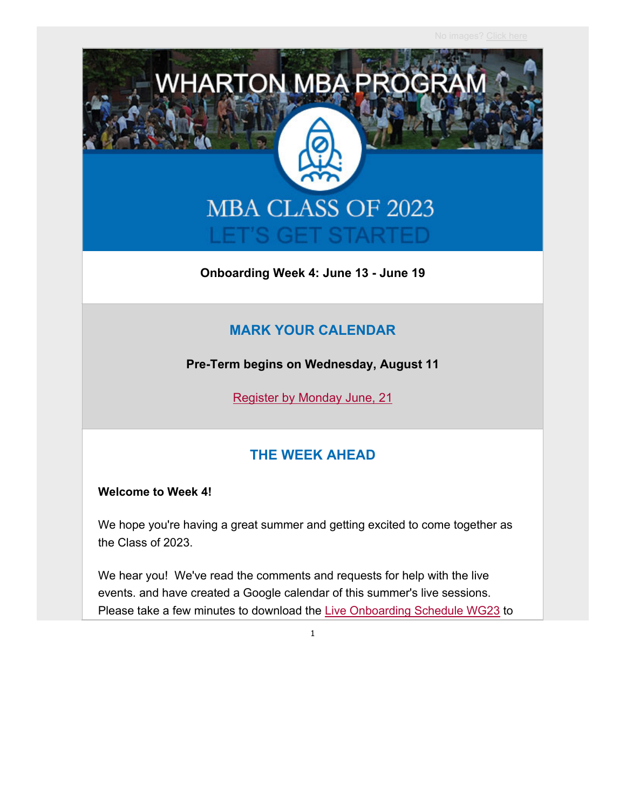

**Onboarding Week 4: June 13 - June 19**

#### **MARK YOUR CALENDAR**

**Pre-Term begins on Wednesday, August 11**

Register by Monday June, 21

#### **THE WEEK AHEAD**

#### **Welcome to Week 4!**

We hope you're having a great summer and getting excited to come together as the Class of 2023.

We hear you! We've read the comments and requests for help with the live events. and have created a Google calendar of this summer's live sessions. Please take a few minutes to download the Live Onboarding Schedule WG23 to

1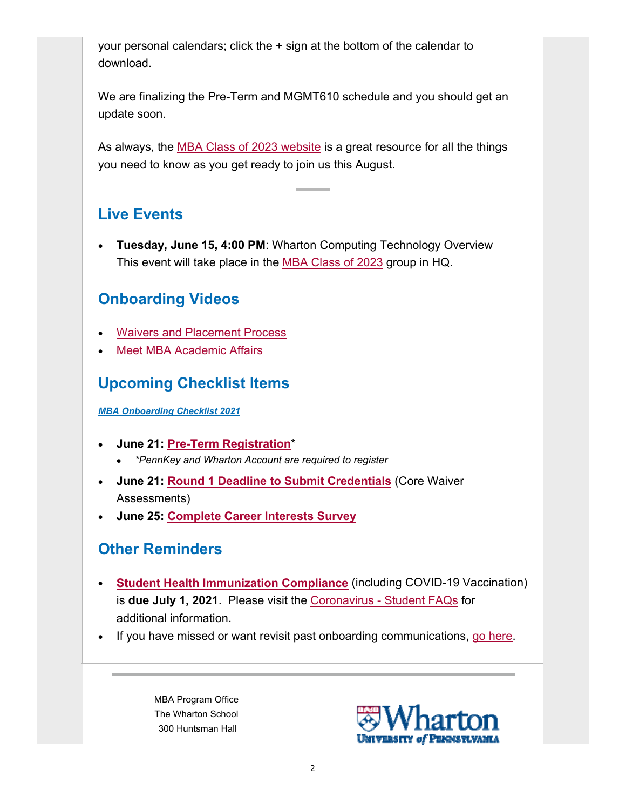your personal calendars; click the + sign at the bottom of the calendar to download.

We are finalizing the Pre-Term and MGMT610 schedule and you should get an update soon.

As always, the MBA Class of 2023 website is a great resource for all the things you need to know as you get ready to join us this August.

## **Live Events**

 **Tuesday, June 15, 4:00 PM**: Wharton Computing Technology Overview This event will take place in the MBA Class of 2023 group in HQ.

## **Onboarding Videos**

- Waivers and Placement Process
- Meet MBA Academic Affairs

# **Upcoming Checklist Items**

*MBA Onboarding Checklist 2021*

- **June 21: Pre-Term Registration**\*
	- *\*PennKey and Wharton Account are required to register*
- **June 21: Round 1 Deadline to Submit Credentials** (Core Waiver Assessments)
- **June 25: Complete Career Interests Survey**

### **Other Reminders**

- **Student Health Immunization Compliance** (including COVID-19 Vaccination) is **due July 1, 2021**. Please visit the Coronavirus - Student FAQs for additional information.
- If you have missed or want revisit past onboarding communications, go here.

MBA Program Office The Wharton School 300 Huntsman Hall